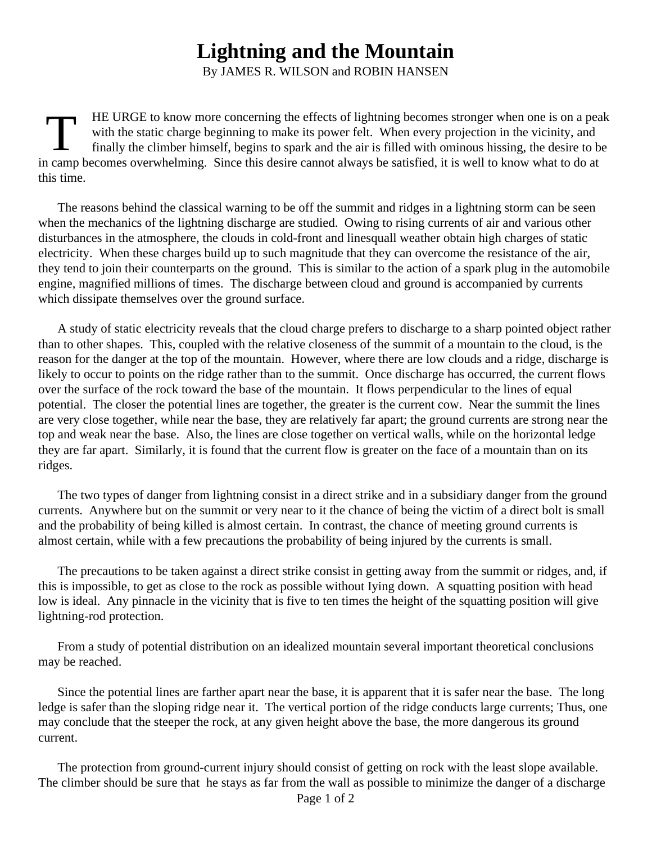## **Lightning and the Mountain**

By JAMES R. WILSON and ROBIN HANSEN

T HE URGE to know more concerning the effects of lightning becomes stronger when one is on a peak with the static charge beginning to make its power felt. When every projection in the vicinity, and finally the climber himself, begins to spark and the air is filled with ominous hissing, the desire to be in camp becomes overwhelming. Since this desire cannot always be satisfied, it is well to know what to do at this time.

The reasons behind the classical warning to be off the summit and ridges in a lightning storm can be seen when the mechanics of the lightning discharge are studied. Owing to rising currents of air and various other disturbances in the atmosphere, the clouds in cold-front and linesquall weather obtain high charges of static electricity. When these charges build up to such magnitude that they can overcome the resistance of the air, they tend to join their counterparts on the ground. This is similar to the action of a spark plug in the automobile engine, magnified millions of times. The discharge between cloud and ground is accompanied by currents which dissipate themselves over the ground surface.

A study of static electricity reveals that the cloud charge prefers to discharge to a sharp pointed object rather than to other shapes. This, coupled with the relative closeness of the summit of a mountain to the cloud, is the reason for the danger at the top of the mountain. However, where there are low clouds and a ridge, discharge is likely to occur to points on the ridge rather than to the summit. Once discharge has occurred, the current flows over the surface of the rock toward the base of the mountain. It flows perpendicular to the lines of equal potential. The closer the potential lines are together, the greater is the current cow. Near the summit the lines are very close together, while near the base, they are relatively far apart; the ground currents are strong near the top and weak near the base. Also, the lines are close together on vertical walls, while on the horizontal ledge they are far apart. Similarly, it is found that the current flow is greater on the face of a mountain than on its ridges.

The two types of danger from lightning consist in a direct strike and in a subsidiary danger from the ground currents. Anywhere but on the summit or very near to it the chance of being the victim of a direct bolt is small and the probability of being killed is almost certain. In contrast, the chance of meeting ground currents is almost certain, while with a few precautions the probability of being injured by the currents is small.

The precautions to be taken against a direct strike consist in getting away from the summit or ridges, and, if this is impossible, to get as close to the rock as possible without Iying down. A squatting position with head low is ideal. Any pinnacle in the vicinity that is five to ten times the height of the squatting position will give lightning-rod protection.

From a study of potential distribution on an idealized mountain several important theoretical conclusions may be reached.

Since the potential lines are farther apart near the base, it is apparent that it is safer near the base. The long ledge is safer than the sloping ridge near it. The vertical portion of the ridge conducts large currents; Thus, one may conclude that the steeper the rock, at any given height above the base, the more dangerous its ground current.

The protection from ground-current injury should consist of getting on rock with the least slope available. The climber should be sure that he stays as far from the wall as possible to minimize the danger of a discharge